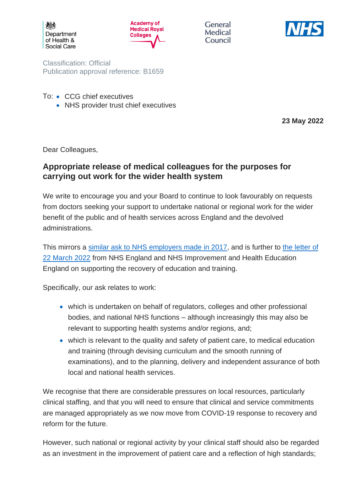



General Medical Council



Classification: Official Publication approval reference: B1659

- To: CCG chief executives
	- NHS provider trust chief executives

**23 May 2022**

Dear Colleagues,

## **Appropriate release of medical colleagues for the purposes for carrying out work for the wider health system**

We write to encourage you and your Board to continue to look favourably on requests from doctors seeking your support to undertake national or regional work for the wider benefit of the public and of health services across England and the devolved administrations.

This mirrors a [similar ask to NHS employers made in 2017,](https://www.aomrc.org.uk/wp-content/uploads/2017/08/070717_CMO_letter_wider_NHS_work-2.pdf) and is further to the letter of [22 March 2022](https://www.england.nhs.uk/wp-content/uploads/2022/03/B1455-maintaining-education-to-support-training-recovery.pdf) from NHS England and NHS Improvement and Health Education England on supporting the recovery of education and training.

Specifically, our ask relates to work:

- which is undertaken on behalf of regulators, colleges and other professional bodies, and national NHS functions – although increasingly this may also be relevant to supporting health systems and/or regions, and;
- which is relevant to the quality and safety of patient care, to medical education and training (through devising curriculum and the smooth running of examinations), and to the planning, delivery and independent assurance of both local and national health services.

We recognise that there are considerable pressures on local resources, particularly clinical staffing, and that you will need to ensure that clinical and service commitments are managed appropriately as we now move from COVID-19 response to recovery and reform for the future.

However, such national or regional activity by your clinical staff should also be regarded as an investment in the improvement of patient care and a reflection of high standards;